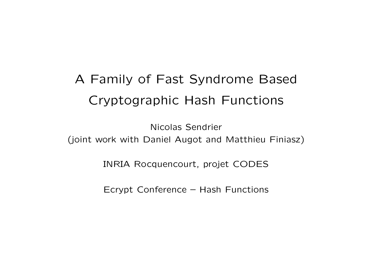# A Family of Fast Syndrome Based Cryptographic Hash Functions

Nicolas Sendrier (joint work with Daniel Augot and Matthieu Finiasz)

INRIA Rocquencourt, projet CODES

Ecrypt Conference – Hash Functions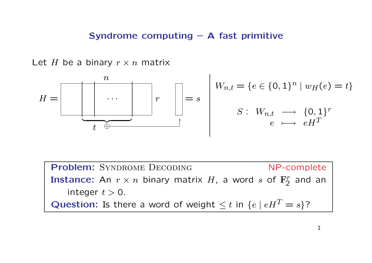#### Syndrome computing – A fast primitive

Let H be a binary  $r \times n$  matrix

$$
H = \boxed{\begin{array}{c|c} n & & \\ \hline & \ddots & \\ \hline & t & \end{array}} \quad r \quad \boxed{\begin{array}{c} \vdots \\ \vdots \\ \vdots \\ \vdots \\ \vdots \end{array}} = s \quad \boxed{\begin{array}{c} W_{n,t} = \{e \in \{0,1\}^n \mid w_H(e) = t\} \\ S: \ W_{n,t} \quad \longrightarrow \quad \{0,1\}^r \\ e \quad \longmapsto \quad eH^T \end{array}}
$$

Problem: SYNDROME DECODING NP-complete Instance: An  $r \times n$  binary matrix  $H$ , a word  $s$  of  $\mathbf{F}_{2}^{r}$  and an integer  $t > 0$ . **Question:** Is there a word of weight  $\leq t$  in  $\{e \mid eH^T = s\}$ ?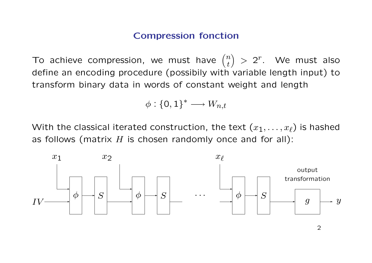## Compression fonction

To achieve compression, we must have  $($  $\overline{n}$ t ´  $> 2<sup>r</sup>$ . We must also define an encoding procedure (possibily with variable length input) to transform binary data in words of constant weight and length

$$
\phi: \{\mathsf{0},\mathsf{1}\}^* \longrightarrow W_{n,t}
$$

With the classical iterated construction, the text  $(x_1, \ldots, x_\ell)$  is hashed as follows (matrix  $H$  is chosen randomly once and for all):

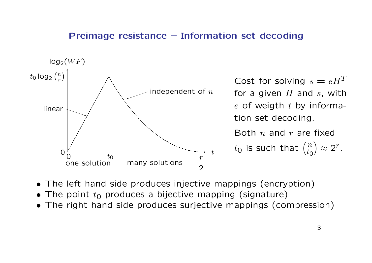#### Preimage resistance – Information set decoding



Cost for solving  $s = eH^T$ for a given  $H$  and  $s$ , with  $e$  of weigth  $t$  by information set decoding.

Both  $n$  and  $r$  are fixed  $t_{\mathsf{0}}$  is such that  $\big(\,$  $\overline{n}$  $t_{\mathsf{O}}$ ´  $\approx 2^r$ .

- The left hand side produces injective mappings (encryption)
- The point  $t_0$  produces a bijective mapping (signature)
- The right hand side produces surjective mappings (compression)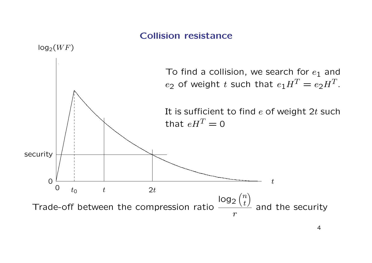# Collision resistance

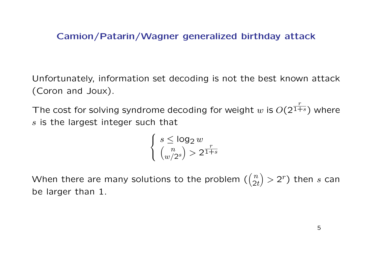# Camion/Patarin/Wagner generalized birthday attack

Unfortunately, information set decoding is not the best known attack (Coron and Joux).

The cost for solving syndrome decoding for weight  $w$  is  $O(2)$ r  $\overline{^{1+s}})$  where s is the largest integer such that

$$
\begin{cases} s \le \log_2 w \\ \binom{n}{w/2^s} > 2^{\frac{r}{1+s}} \end{cases}
$$

When there are many solutions to the problem ( $($  $\overline{n}$  $2t$ ´  $> 2<sup>r</sup>$ ) then s can be larger than 1.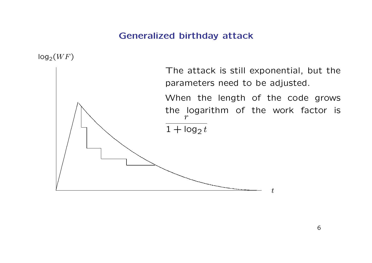# Generalized birthday attack

 $log_2(W F)$ 

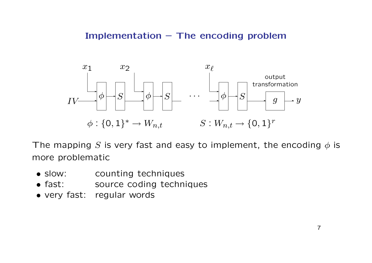# Implementation – The encoding problem



The mapping S is very fast and easy to implement, the encoding  $\phi$  is more problematic

- slow: counting techniques
- fast: source coding techniques
- very fast: regular words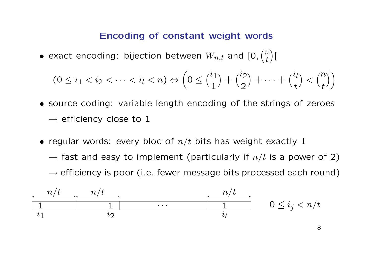#### Encoding of constant weight words

 $\bullet$  exact encoding: bijection between  $W_{n,t}$  and [0,  $\overline{a}$  $\overline{n}$ t ´ [

$$
(0 \leq i_1 < i_2 < \dots < i_t < n) \Leftrightarrow \left(0 \leq {i_1 \choose 1} + {i_2 \choose 2} + \dots + {i_t \choose t} < {n \choose t}\right)
$$

- source coding: variable length encoding of the strings of zeroes  $\rightarrow$  efficiency close to 1
- regular words: every bloc of  $n/t$  bits has weight exactly 1  $\rightarrow$  fast and easy to implement (particularly if  $n/t$  is a power of 2)  $\rightarrow$  efficiency is poor (i.e. fewer message bits processed each round)

| $n/t$ | $n/t$ | $n/t$ |                    |                    |
|-------|-------|-------|--------------------|--------------------|
| 1     | 1     | ...   | 1                  | $0 \leq i_j < n/t$ |
| $i_1$ | $i_2$ | $i_t$ | $0 \leq i_j < n/t$ |                    |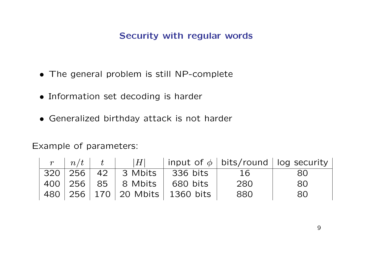# Security with regular words

- The general problem is still NP-complete
- Information set decoding is harder
- Generalized birthday attack is not harder

# Example of parameters:

|  |                                     |                                        |     | $r \mid n/t \mid t \mid  H $   input of $\phi$   bits/round   log security |
|--|-------------------------------------|----------------------------------------|-----|----------------------------------------------------------------------------|
|  |                                     | 320   256   42   3 Mbits   336 bits    | 16  | 80.                                                                        |
|  | 400   256   85   8 Mbits   680 bits |                                        | 280 | 80                                                                         |
|  |                                     | 480   256   170   20 Mbits   1360 bits | 880 | 80                                                                         |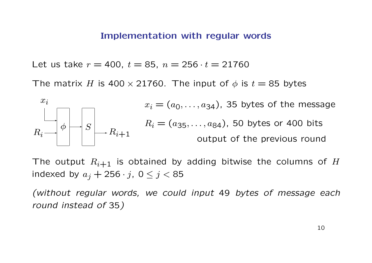#### Implementation with regular words

Let us take  $r = 400$ ,  $t = 85$ ,  $n = 256 \cdot t = 21760$ 

The matrix H is 400  $\times$  21760. The input of  $\phi$  is  $t = 85$  bytes



The output  $R_{i+1}$  is obtained by adding bitwise the columns of H indexed by  $a_j + 256 \cdot j$ ,  $0 \leq j < 85$ 

(without regular words, we could input 49 bytes of message each round instead of 35)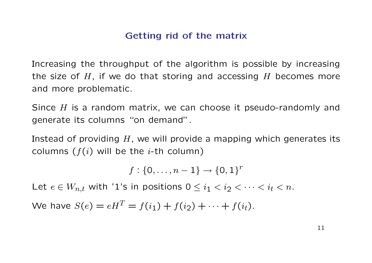# Getting rid of the matrix

Increasing the throughput of the algorithm is possible by increasing the size of  $H$ , if we do that storing and accessing  $H$  becomes more and more problematic.

Since  $H$  is a random matrix, we can choose it pseudo-randomly and generate its columns "on demand".

Instead of providing  $H$ , we will provide a mapping which generates its columns  $(f(i)$  will be the *i*-th column)

 $f: \{0, \ldots, n-1\} \to \{0,1\}^r$ 

Let  $e \in W_{n,t}$  with '1's in positions  $0 \leq i_1 < i_2 < \cdots < i_t < n$ .

We have  $S(e) = eH^T = f(i_1) + f(i_2) + \cdots + f(i_t)$ .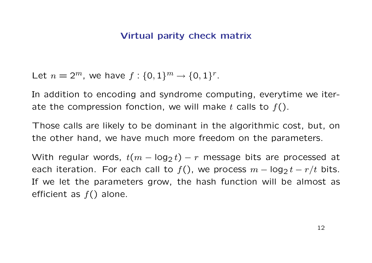# Virtual parity check matrix

Let  $n = 2^m$ , we have  $f: \{0, 1\}^m \to \{0, 1\}^r$ .

In addition to encoding and syndrome computing, everytime we iterate the compression fonction, we will make t calls to  $f()$ .

Those calls are likely to be dominant in the algorithmic cost, but, on the other hand, we have much more freedom on the parameters.

With regular words,  $t(m - log_2 t) - r$  message bits are processed at each iteration. For each call to  $f()$ , we process  $m - \log_2 t - r/t$  bits. If we let the parameters grow, the hash function will be almost as efficient as  $f()$  alone.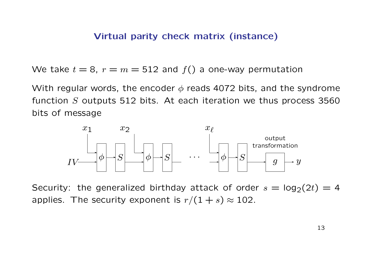## Virtual parity check matrix (instance)

We take  $t = 8$ ,  $r = m = 512$  and  $f()$  a one-way permutation

With regular words, the encoder  $\phi$  reads 4072 bits, and the syndrome function  $S$  outputs 512 bits. At each iteration we thus process 3560 bits of message



Security: the generalized birthday attack of order  $s = \log_2(2t) = 4$ applies. The security exponent is  $r/(1 + s) \approx 102$ .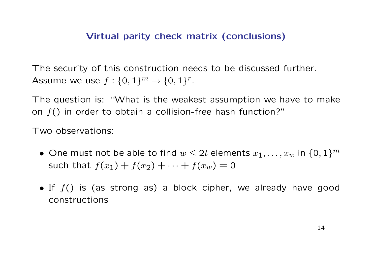# Virtual parity check matrix (conclusions)

The security of this construction needs to be discussed further. Assume we use  $f: \{0,1\}^m \to \{0,1\}^r$ .

The question is: "What is the weakest assumption we have to make on  $f()$  in order to obtain a collision-free hash function?"

Two observations:

- One must not be able to find  $w \leq 2t$  elements  $x_1, \ldots, x_w$  in  $\{0,1\}^m$ such that  $f(x_1) + f(x_2) + \cdots + f(x_w) = 0$
- If  $f()$  is (as strong as) a block cipher, we already have good constructions